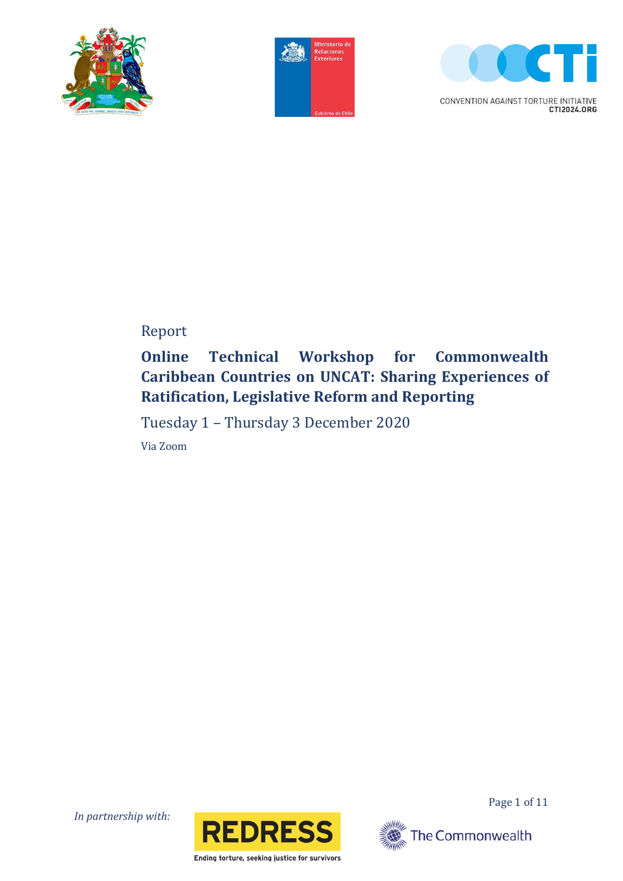





CONVENTION AGAINST TORTURE INITIATIVE CTI2024.ORG

# Report

# **Online Technical Workshop for Commonwealth Caribbean Countries on UNCAT: Sharing Experiences of Ratification, Legislative Reform and Reporting**

Tuesday 1 – Thursday 3 December 2020

Via Zoom

*In partnership with:*



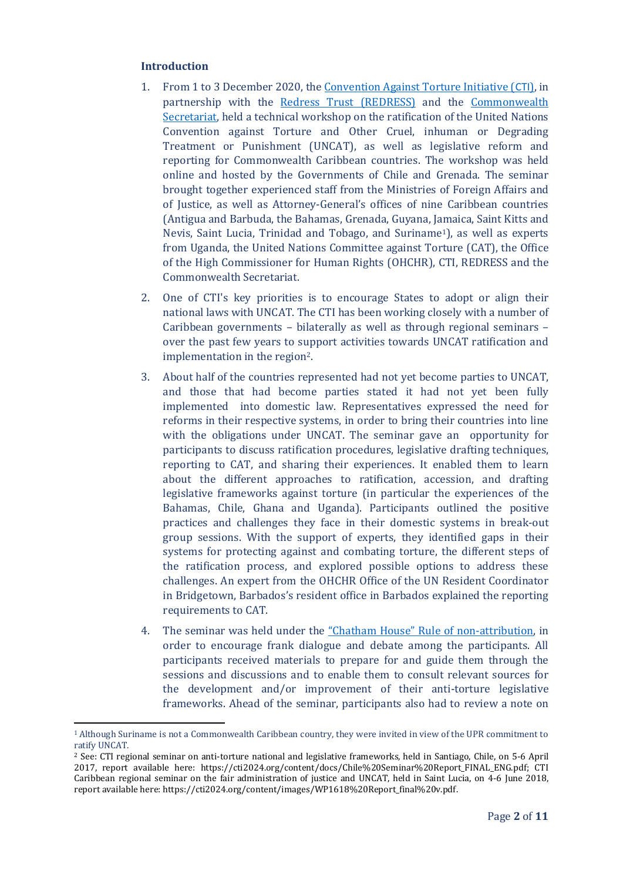### **Introduction**

 $\overline{a}$ 

- 1. From 1 to 3 December 2020, the [Convention Against Torture Initiative \(](https://www.cti2024.org/)CTI), in partnership with the [Redress Trust \(REDRESS\)](https://redress.org/) and the [Commonwealth](https://thecommonwealth.org/about-us/secretariat)  [Secretariat,](https://thecommonwealth.org/about-us/secretariat) held a technical workshop on the ratification of the United Nations Convention against Torture and Other Cruel, inhuman or Degrading Treatment or Punishment (UNCAT), as well as legislative reform and reporting for Commonwealth Caribbean countries. The workshop was held online and hosted by the Governments of Chile and Grenada. The seminar brought together experienced staff from the Ministries of Foreign Affairs and of Justice, as well as Attorney-General's offices of nine Caribbean countries (Antigua and Barbuda, the Bahamas, Grenada, Guyana, Jamaica, Saint Kitts and Nevis, Saint Lucia, Trinidad and Tobago, and Suriname1), as well as experts from Uganda, the United Nations Committee against Torture (CAT), the Office of the High Commissioner for Human Rights (OHCHR), CTI, REDRESS and the Commonwealth Secretariat.
- 2. One of CTI's key priorities is to encourage States to adopt or align their national laws with UNCAT. The CTI has been working closely with a number of Caribbean governments – bilaterally as well as through regional seminars – over the past few years to support activities towards UNCAT ratification and implementation in the region2.
- 3. About half of the countries represented had not yet become parties to UNCAT, and those that had become parties stated it had not yet been fully implemented into domestic law. Representatives expressed the need for reforms in their respective systems, in order to bring their countries into line with the obligations under UNCAT. The seminar gave an opportunity for participants to discuss ratification procedures, legislative drafting techniques, reporting to CAT, and sharing their experiences. It enabled them to learn about the different approaches to ratification, accession, and drafting legislative frameworks against torture (in particular the experiences of the Bahamas, Chile, Ghana and Uganda). Participants outlined the positive practices and challenges they face in their domestic systems in break-out group sessions. With the support of experts, they identified gaps in their systems for protecting against and combating torture, the different steps of the ratification process, and explored possible options to address these challenges. An expert from the OHCHR Office of the UN Resident Coordinator in Bridgetown, Barbados's resident office in Barbados explained the reporting requirements to CAT.
- 4. The seminar was held under the "Chatham House" [Rule of non-attribution,](https://www.chathamhouse.org/about-us/chatham-house-rule) in order to encourage frank dialogue and debate among the participants. All participants received materials to prepare for and guide them through the sessions and discussions and to enable them to consult relevant sources for the development and/or improvement of their anti-torture legislative frameworks. Ahead of the seminar, participants also had to review a note on

<sup>1</sup> Although Suriname is not a Commonwealth Caribbean country, they were invited in view of the UPR commitment to ratify UNCAT.

<sup>2</sup> See: CTI regional seminar on anti-torture national and legislative frameworks, held in Santiago, Chile, on 5-6 April 2017, report available here: https://cti2024.org/content/docs/Chile%20Seminar%20Report\_FINAL\_ENG.pdf; CTI Caribbean regional seminar on the fair administration of justice and UNCAT, held in Saint Lucia, on 4-6 June 2018, report available here: https://cti2024.org/content/images/WP1618%20Report\_final%20v.pdf.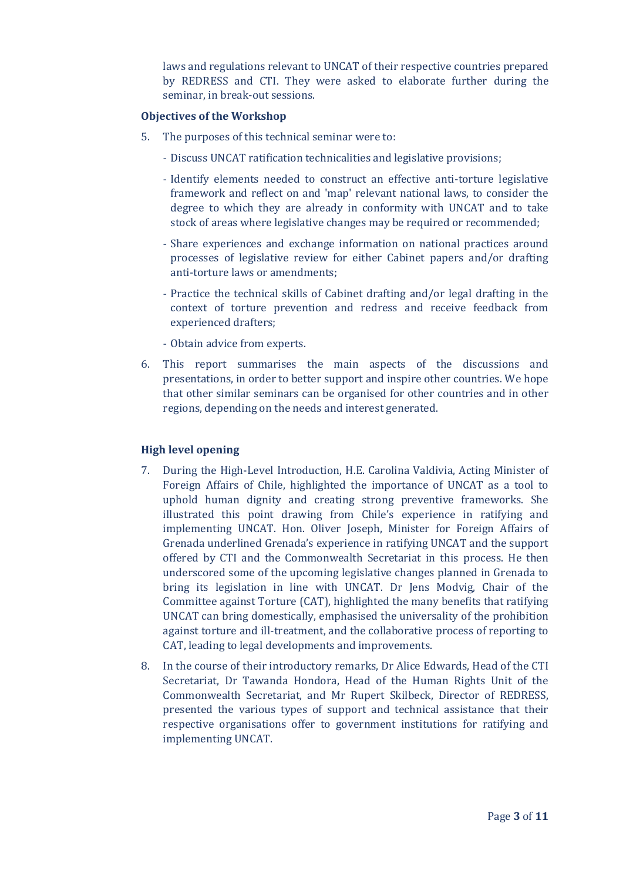laws and regulations relevant to UNCAT of their respective countries prepared by REDRESS and CTI. They were asked to elaborate further during the seminar, in break-out sessions.

### **Objectives of the Workshop**

- 5. The purposes of this technical seminar were to:
	- Discuss UNCAT ratification technicalities and legislative provisions;
	- Identify elements needed to construct an effective anti-torture legislative framework and reflect on and 'map' relevant national laws, to consider the degree to which they are already in conformity with UNCAT and to take stock of areas where legislative changes may be required or recommended;
	- Share experiences and exchange information on national practices around processes of legislative review for either Cabinet papers and/or drafting anti-torture laws or amendments;
	- Practice the technical skills of Cabinet drafting and/or legal drafting in the context of torture prevention and redress and receive feedback from experienced drafters;
	- Obtain advice from experts.
- 6. This report summarises the main aspects of the discussions and presentations, in order to better support and inspire other countries. We hope that other similar seminars can be organised for other countries and in other regions, depending on the needs and interest generated.

# **High level opening**

- 7. During the High-Level Introduction, H.E. Carolina Valdivia, Acting Minister of Foreign Affairs of Chile, highlighted the importance of UNCAT as a tool to uphold human dignity and creating strong preventive frameworks. She illustrated this point drawing from Chile's experience in ratifying and implementing UNCAT. Hon. Oliver Joseph, Minister for Foreign Affairs of Grenada underlined Grenada's experience in ratifying UNCAT and the support offered by CTI and the Commonwealth Secretariat in this process. He then underscored some of the upcoming legislative changes planned in Grenada to bring its legislation in line with UNCAT. Dr Jens Modvig, Chair of the Committee against Torture (CAT), highlighted the many benefits that ratifying UNCAT can bring domestically, emphasised the universality of the prohibition against torture and ill-treatment, and the collaborative process of reporting to CAT, leading to legal developments and improvements.
- 8. In the course of their introductory remarks, Dr Alice Edwards, Head of the CTI Secretariat, Dr Tawanda Hondora, Head of the Human Rights Unit of the Commonwealth Secretariat, and Mr Rupert Skilbeck, Director of REDRESS, presented the various types of support and technical assistance that their respective organisations offer to government institutions for ratifying and implementing UNCAT.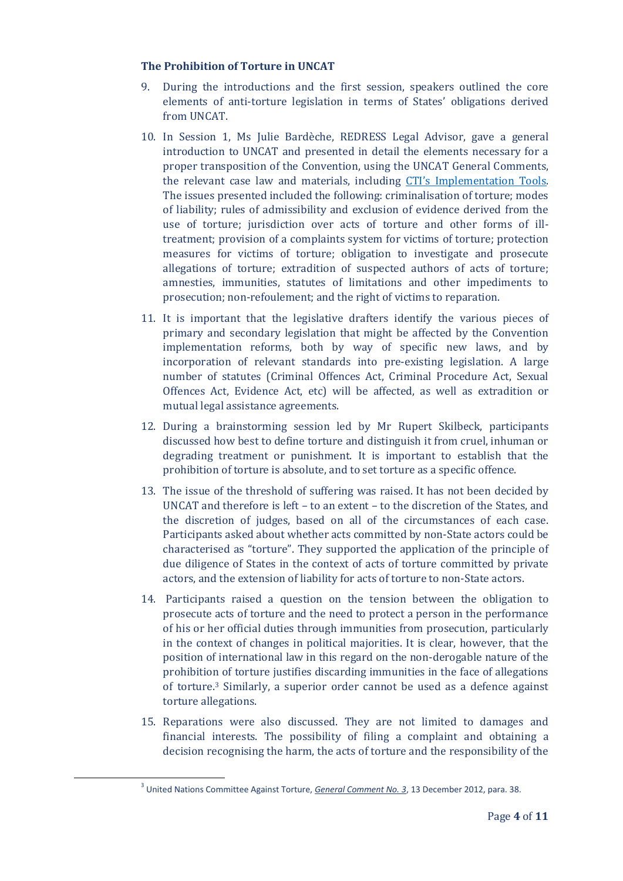## **The Prohibition of Torture in UNCAT**

- 9. During the introductions and the first session, speakers outlined the core elements of anti-torture legislation in terms of States' obligations derived from UNCAT.
- 10. In Session 1, Ms Julie Bardèche, REDRESS Legal Advisor, gave a general introduction to UNCAT and presented in detail the elements necessary for a proper transposition of the Convention, using the UNCAT General Comments, the relevant case law and materials, including [CTI's Implementation Tools](https://www.cti2024.org/en/cti-uncat-implementation-tools/). The issues presented included the following: criminalisation of torture; modes of liability; rules of admissibility and exclusion of evidence derived from the use of torture; jurisdiction over acts of torture and other forms of illtreatment; provision of a complaints system for victims of torture; protection measures for victims of torture; obligation to investigate and prosecute allegations of torture; extradition of suspected authors of acts of torture; amnesties, immunities, statutes of limitations and other impediments to prosecution; non-refoulement; and the right of victims to reparation.
- 11. It is important that the legislative drafters identify the various pieces of primary and secondary legislation that might be affected by the Convention implementation reforms, both by way of specific new laws, and by incorporation of relevant standards into pre-existing legislation. A large number of statutes (Criminal Offences Act, Criminal Procedure Act, Sexual Offences Act, Evidence Act, etc) will be affected, as well as extradition or mutual legal assistance agreements.
- 12. During a brainstorming session led by Mr Rupert Skilbeck, participants discussed how best to define torture and distinguish it from cruel, inhuman or degrading treatment or punishment. It is important to establish that the prohibition of torture is absolute, and to set torture as a specific offence.
- 13. The issue of the threshold of suffering was raised. It has not been decided by UNCAT and therefore is left – to an extent – to the discretion of the States, and the discretion of judges, based on all of the circumstances of each case. Participants asked about whether acts committed by non-State actors could be characterised as "torture". They supported the application of the principle of due diligence of States in the context of acts of torture committed by private actors, and the extension of liability for acts of torture to non-State actors.
- 14. Participants raised a question on the tension between the obligation to prosecute acts of torture and the need to protect a person in the performance of his or her official duties through immunities from prosecution, particularly in the context of changes in political majorities. It is clear, however, that the position of international law in this regard on the non-derogable nature of the prohibition of torture justifies discarding immunities in the face of allegations of torture.<sup>3</sup> Similarly, a superior order cannot be used as a defence against torture allegations.
- 15. Reparations were also discussed. They are not limited to damages and financial interests. The possibility of filing a complaint and obtaining a decision recognising the harm, the acts of torture and the responsibility of the

 $\overline{\phantom{a}}$ 

<sup>3</sup> United Nations Committee Against Torture, *[General Comment No. 3](https://www2.ohchr.org/english/bodies/cat/docs/CAT.C.GC.3_fr.doc)*, 13 December 2012, para. 38.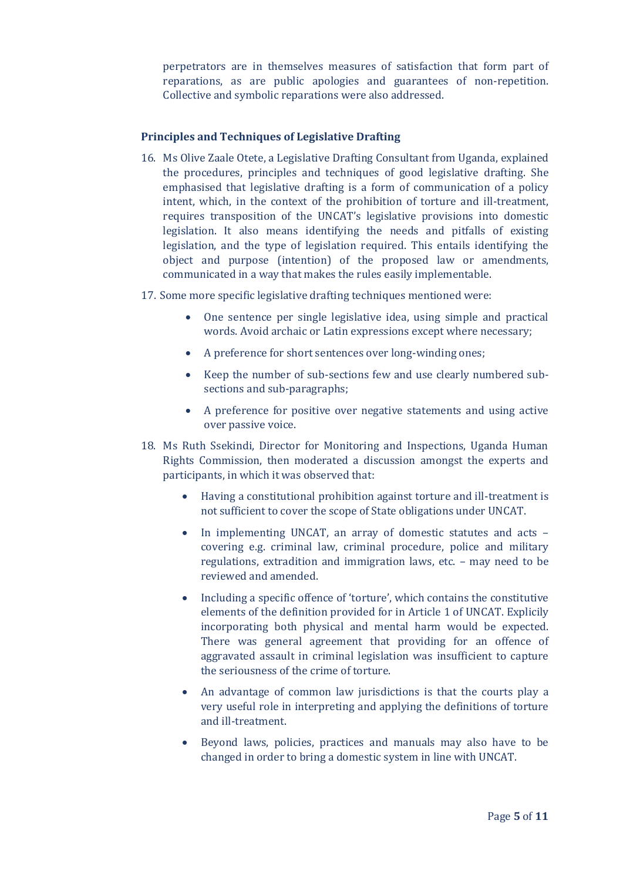perpetrators are in themselves measures of satisfaction that form part of reparations, as are public apologies and guarantees of non-repetition. Collective and symbolic reparations were also addressed.

# **Principles and Techniques of Legislative Drafting**

- 16. Ms Olive Zaale Otete, a Legislative Drafting Consultant from Uganda, explained the procedures, principles and techniques of good legislative drafting. She emphasised that legislative drafting is a form of communication of a policy intent, which, in the context of the prohibition of torture and ill-treatment, requires transposition of the UNCAT's legislative provisions into domestic legislation. It also means identifying the needs and pitfalls of existing legislation, and the type of legislation required. This entails identifying the object and purpose (intention) of the proposed law or amendments, communicated in a way that makes the rules easily implementable.
- 17. Some more specific legislative drafting techniques mentioned were:
	- One sentence per single legislative idea, using simple and practical words. Avoid archaic or Latin expressions except where necessary;
	- A preference for short sentences over long-winding ones;
	- Keep the number of sub-sections few and use clearly numbered subsections and sub-paragraphs;
	- A preference for positive over negative statements and using active over passive voice.
- 18. Ms Ruth Ssekindi, Director for Monitoring and Inspections, Uganda Human Rights Commission, then moderated a discussion amongst the experts and participants, in which it was observed that:
	- Having a constitutional prohibition against torture and ill-treatment is not sufficient to cover the scope of State obligations under UNCAT.
	- In implementing UNCAT, an array of domestic statutes and acts covering e.g. criminal law, criminal procedure, police and military regulations, extradition and immigration laws, etc. – may need to be reviewed and amended.
	- Including a specific offence of 'torture', which contains the constitutive elements of the definition provided for in Article 1 of UNCAT. Explicily incorporating both physical and mental harm would be expected. There was general agreement that providing for an offence of aggravated assault in criminal legislation was insufficient to capture the seriousness of the crime of torture.
	- An advantage of common law jurisdictions is that the courts play a very useful role in interpreting and applying the definitions of torture and ill-treatment.
	- Beyond laws, policies, practices and manuals may also have to be changed in order to bring a domestic system in line with UNCAT.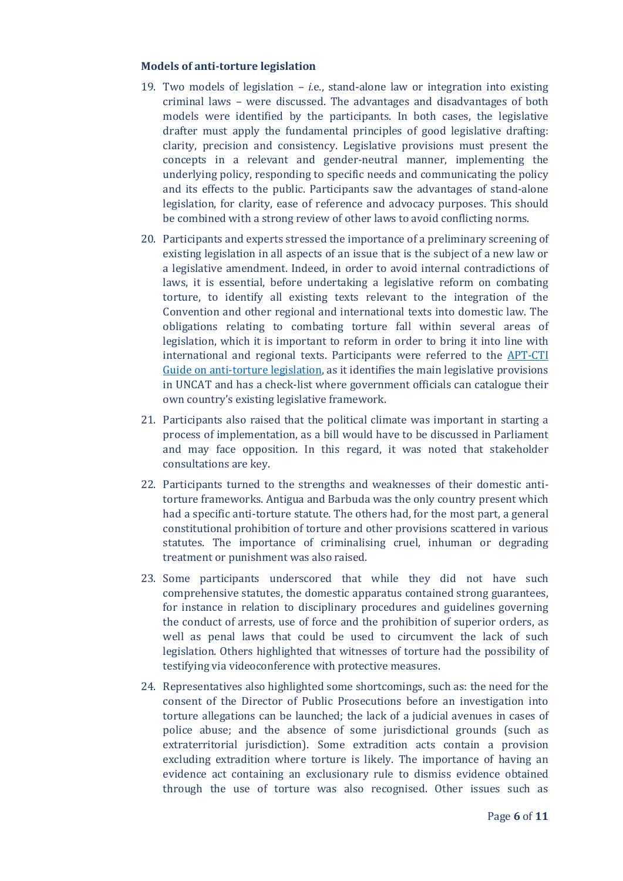#### **Models of anti-torture legislation**

- 19. Two models of legislation *i.*e., stand-alone law or integration into existing criminal laws – were discussed. The advantages and disadvantages of both models were identified by the participants. In both cases, the legislative drafter must apply the fundamental principles of good legislative drafting: clarity, precision and consistency. Legislative provisions must present the concepts in a relevant and gender-neutral manner, implementing the underlying policy, responding to specific needs and communicating the policy and its effects to the public. Participants saw the advantages of stand-alone legislation, for clarity, ease of reference and advocacy purposes. This should be combined with a strong review of other laws to avoid conflicting norms.
- 20. Participants and experts stressed the importance of a preliminary screening of existing legislation in all aspects of an issue that is the subject of a new law or a legislative amendment. Indeed, in order to avoid internal contradictions of laws, it is essential, before undertaking a legislative reform on combating torture, to identify all existing texts relevant to the integration of the Convention and other regional and international texts into domestic law. The obligations relating to combating torture fall within several areas of legislation, which it is important to reform in order to bring it into line with international and regional texts. Participants were referred to the [APT-CTI](https://cti2024.org/content/docs/APT%20Anti%20Torture%20Guide_ENG.pdf)  [Guide on anti-torture legislation,](https://cti2024.org/content/docs/APT%20Anti%20Torture%20Guide_ENG.pdf) as it identifies the main legislative provisions in UNCAT and has a check-list where government officials can catalogue their own country's existing legislative framework.
- 21. Participants also raised that the political climate was important in starting a process of implementation, as a bill would have to be discussed in Parliament and may face opposition. In this regard, it was noted that stakeholder consultations are key.
- 22. Participants turned to the strengths and weaknesses of their domestic antitorture frameworks. Antigua and Barbuda was the only country present which had a specific anti-torture statute. The others had, for the most part, a general constitutional prohibition of torture and other provisions scattered in various statutes. The importance of criminalising cruel, inhuman or degrading treatment or punishment was also raised.
- 23. Some participants underscored that while they did not have such comprehensive statutes, the domestic apparatus contained strong guarantees, for instance in relation to disciplinary procedures and guidelines governing the conduct of arrests, use of force and the prohibition of superior orders, as well as penal laws that could be used to circumvent the lack of such legislation. Others highlighted that witnesses of torture had the possibility of testifying via videoconference with protective measures.
- 24. Representatives also highlighted some shortcomings, such as: the need for the consent of the Director of Public Prosecutions before an investigation into torture allegations can be launched; the lack of a judicial avenues in cases of police abuse; and the absence of some jurisdictional grounds (such as extraterritorial jurisdiction). Some extradition acts contain a provision excluding extradition where torture is likely. The importance of having an evidence act containing an exclusionary rule to dismiss evidence obtained through the use of torture was also recognised. Other issues such as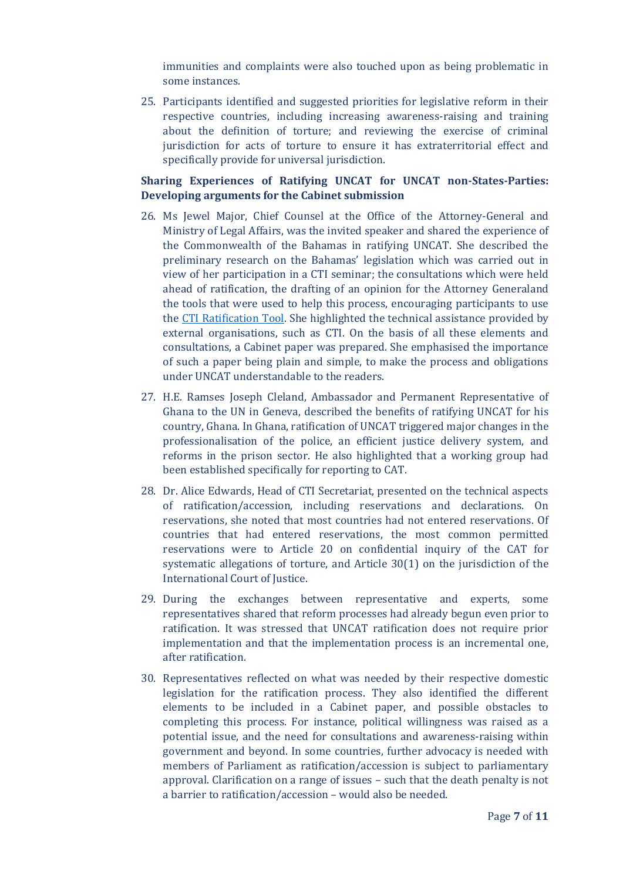immunities and complaints were also touched upon as being problematic in some instances.

25. Participants identified and suggested priorities for legislative reform in their respective countries, including increasing awareness-raising and training about the definition of torture; and reviewing the exercise of criminal jurisdiction for acts of torture to ensure it has extraterritorial effect and specifically provide for universal jurisdiction.

# **Sharing Experiences of Ratifying UNCAT for UNCAT non-States-Parties: Developing arguments for the Cabinet submission**

- 26. Ms Jewel Major, Chief Counsel at the Office of the Attorney-General and Ministry of Legal Affairs, was the invited speaker and shared the experience of the Commonwealth of the Bahamas in ratifying UNCAT. She described the preliminary research on the Bahamas' legislation which was carried out in view of her participation in a CTI seminar; the consultations which were held ahead of ratification, the drafting of an opinion for the Attorney Generaland the tools that were used to help this process, encouraging participants to use the [CTI Ratification Tool.](https://cti2024.org/content/images/CTI%20Ratification%20tool%20-%20executiveaction%20and%20annexes%20compilation%20Nov%20201...pdf) She highlighted the technical assistance provided by external organisations, such as CTI. On the basis of all these elements and consultations, a Cabinet paper was prepared. She emphasised the importance of such a paper being plain and simple, to make the process and obligations under UNCAT understandable to the readers.
- 27. H.E. Ramses Joseph Cleland, Ambassador and Permanent Representative of Ghana to the UN in Geneva, described the benefits of ratifying UNCAT for his country, Ghana. In Ghana, ratification of UNCAT triggered major changes in the professionalisation of the police, an efficient justice delivery system, and reforms in the prison sector. He also highlighted that a working group had been established specifically for reporting to CAT.
- 28. Dr. Alice Edwards, Head of CTI Secretariat, presented on the technical aspects of ratification/accession, including reservations and declarations. On reservations, she noted that most countries had not entered reservations. Of countries that had entered reservations, the most common permitted reservations were to Article 20 on confidential inquiry of the CAT for systematic allegations of torture, and Article 30(1) on the jurisdiction of the International Court of Justice.
- 29. During the exchanges between representative and experts, some representatives shared that reform processes had already begun even prior to ratification. It was stressed that UNCAT ratification does not require prior implementation and that the implementation process is an incremental one, after ratification.
- 30. Representatives reflected on what was needed by their respective domestic legislation for the ratification process. They also identified the different elements to be included in a Cabinet paper, and possible obstacles to completing this process. For instance, political willingness was raised as a potential issue, and the need for consultations and awareness-raising within government and beyond. In some countries, further advocacy is needed with members of Parliament as ratification/accession is subject to parliamentary approval. Clarification on a range of issues – such that the death penalty is not a barrier to ratification/accession – would also be needed.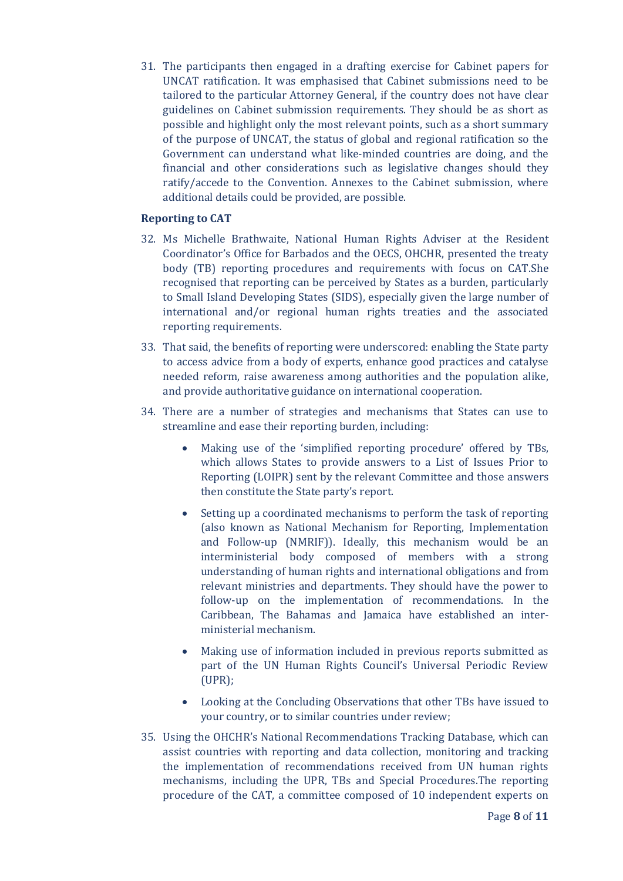31. The participants then engaged in a drafting exercise for Cabinet papers for UNCAT ratification. It was emphasised that Cabinet submissions need to be tailored to the particular Attorney General, if the country does not have clear guidelines on Cabinet submission requirements. They should be as short as possible and highlight only the most relevant points, such as a short summary of the purpose of UNCAT, the status of global and regional ratification so the Government can understand what like-minded countries are doing, and the financial and other considerations such as legislative changes should they ratify/accede to the Convention. Annexes to the Cabinet submission, where additional details could be provided, are possible.

# **Reporting to CAT**

- 32. Ms Michelle Brathwaite, National Human Rights Adviser at the Resident Coordinator's Office for Barbados and the OECS, OHCHR, presented the treaty body (TB) reporting procedures and requirements with focus on CAT.She recognised that reporting can be perceived by States as a burden, particularly to Small Island Developing States (SIDS), especially given the large number of international and/or regional human rights treaties and the associated reporting requirements.
- 33. That said, the benefits of reporting were underscored: enabling the State party to access advice from a body of experts, enhance good practices and catalyse needed reform, raise awareness among authorities and the population alike, and provide authoritative guidance on international cooperation.
- 34. There are a number of strategies and mechanisms that States can use to streamline and ease their reporting burden, including:
	- Making use of the 'simplified reporting procedure' offered by TBs, which allows States to provide answers to a List of Issues Prior to Reporting (LOIPR) sent by the relevant Committee and those answers then constitute the State party's report.
	- Setting up a coordinated mechanisms to perform the task of reporting (also known as National Mechanism for Reporting, Implementation and Follow-up (NMRIF)). Ideally, this mechanism would be an interministerial body composed of members with a strong understanding of human rights and international obligations and from relevant ministries and departments. They should have the power to follow-up on the implementation of recommendations. In the Caribbean, The Bahamas and Jamaica have established an interministerial mechanism.
	- Making use of information included in previous reports submitted as part of the UN Human Rights Council's Universal Periodic Review (UPR);
	- Looking at the Concluding Observations that other TBs have issued to your country, or to similar countries under review;
- 35. Using the OHCHR's National Recommendations Tracking Database, which can assist countries with reporting and data collection, monitoring and tracking the implementation of recommendations received from UN human rights mechanisms, including the UPR, TBs and Special Procedures.The reporting procedure of the CAT, a committee composed of 10 independent experts on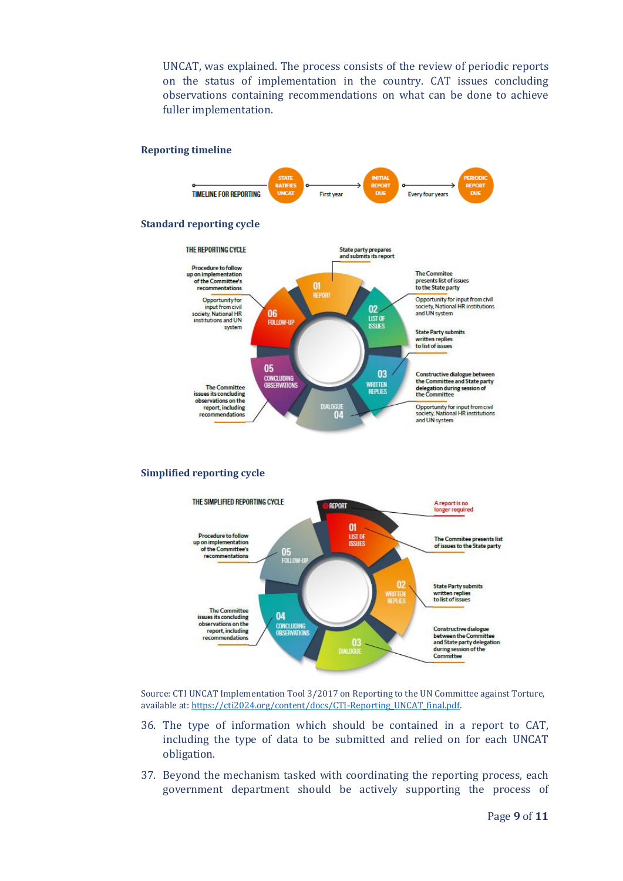UNCAT, was explained. The process consists of the review of periodic reports on the status of implementation in the country. CAT issues concluding observations containing recommendations on what can be done to achieve fuller implementation.

#### **Reporting timeline**



#### **Simplified reporting cycle**



Source: CTI UNCAT Implementation Tool 3/2017 on Reporting to the UN Committee against Torture, available at[: https://cti2024.org/content/docs/CTI-Reporting\\_UNCAT\\_final.pdf.](https://cti2024.org/content/docs/CTI-Reporting_UNCAT_final.pdf) 

- 36. The type of information which should be contained in a report to CAT, including the type of data to be submitted and relied on for each UNCAT obligation.
- 37. Beyond the mechanism tasked with coordinating the reporting process, each government department should be actively supporting the process of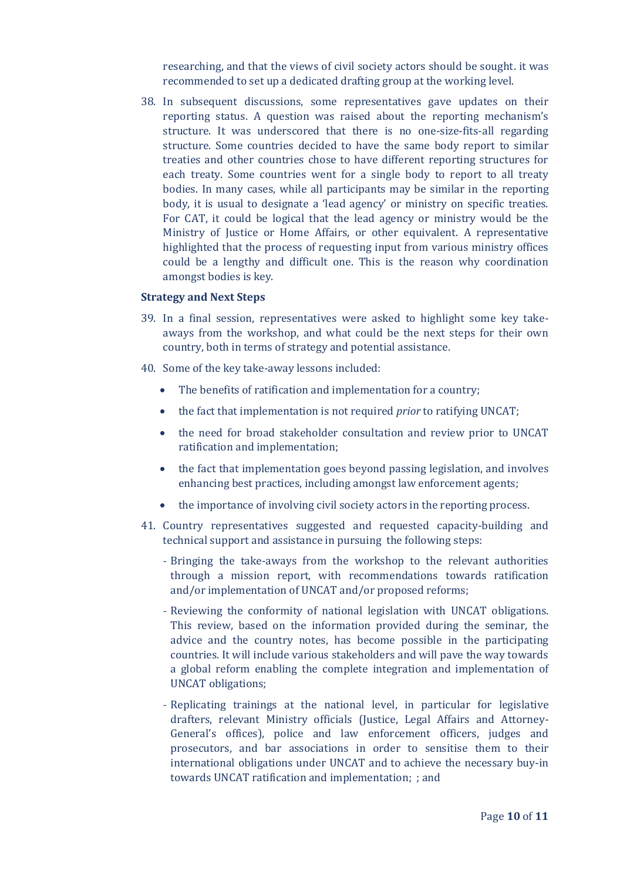researching, and that the views of civil society actors should be sought. it was recommended to set up a dedicated drafting group at the working level.

38. In subsequent discussions, some representatives gave updates on their reporting status. A question was raised about the reporting mechanism's structure. It was underscored that there is no one-size-fits-all regarding structure. Some countries decided to have the same body report to similar treaties and other countries chose to have different reporting structures for each treaty. Some countries went for a single body to report to all treaty bodies. In many cases, while all participants may be similar in the reporting body, it is usual to designate a 'lead agency' or ministry on specific treaties. For CAT, it could be logical that the lead agency or ministry would be the Ministry of Justice or Home Affairs, or other equivalent. A representative highlighted that the process of requesting input from various ministry offices could be a lengthy and difficult one. This is the reason why coordination amongst bodies is key.

### **Strategy and Next Steps**

- 39. In a final session, representatives were asked to highlight some key takeaways from the workshop, and what could be the next steps for their own country, both in terms of strategy and potential assistance.
- 40. Some of the key take-away lessons included:
	- The benefits of ratification and implementation for a country;
	- the fact that implementation is not required *prior* to ratifying UNCAT;
	- the need for broad stakeholder consultation and review prior to UNCAT ratification and implementation;
	- the fact that implementation goes beyond passing legislation, and involves enhancing best practices, including amongst law enforcement agents;
	- the importance of involving civil society actors in the reporting process.
- 41. Country representatives suggested and requested capacity-building and technical support and assistance in pursuing the following steps:
	- Bringing the take-aways from the workshop to the relevant authorities through a mission report, with recommendations towards ratification and/or implementation of UNCAT and/or proposed reforms;
	- Reviewing the conformity of national legislation with UNCAT obligations. This review, based on the information provided during the seminar, the advice and the country notes, has become possible in the participating countries. It will include various stakeholders and will pave the way towards a global reform enabling the complete integration and implementation of UNCAT obligations;
	- Replicating trainings at the national level, in particular for legislative drafters, relevant Ministry officials (Justice, Legal Affairs and Attorney-General's offices), police and law enforcement officers, judges and prosecutors, and bar associations in order to sensitise them to their international obligations under UNCAT and to achieve the necessary buy-in towards UNCAT ratification and implementation; ; and